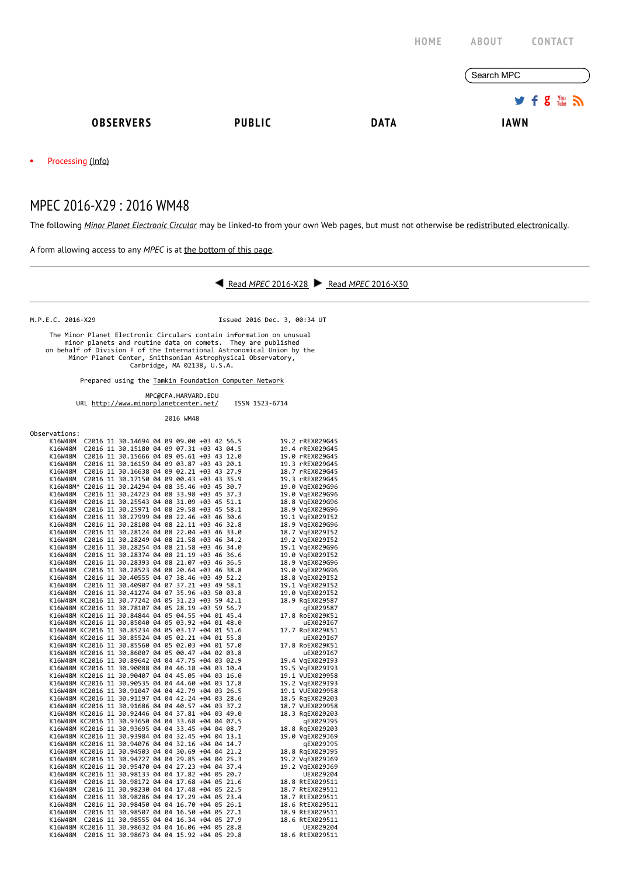|                          |               | <b>HOME</b> | <b>ABOUT</b><br><b>CONTACT</b>            |
|--------------------------|---------------|-------------|-------------------------------------------|
|                          |               |             | Search MPC                                |
|                          |               |             | $9.5$ $\frac{100}{100}$ $\frac{100}{100}$ |
| <b>OBSERVERS</b>         | <b>PUBLIC</b> | <b>DATA</b> | <b>IAWN</b>                               |
| Processing (Info)<br>٠   |               |             |                                           |
| MPEC 2016-X29: 2016 WM48 |               |             |                                           |

The following Minor Planet [Electronic](http://www.minorplanetcenter.net/iau/services/MPEC.html) Circular may be linked-to from your own Web pages, but must not otherwise be redistributed [electronically](http://www.minorplanetcenter.net/iau/WWWPolicy.html).

A form allowing access to any MPEC is at the [bottom](http://www.minorplanetcenter.net/mpec/K16/K16X29.html#form) of this page.

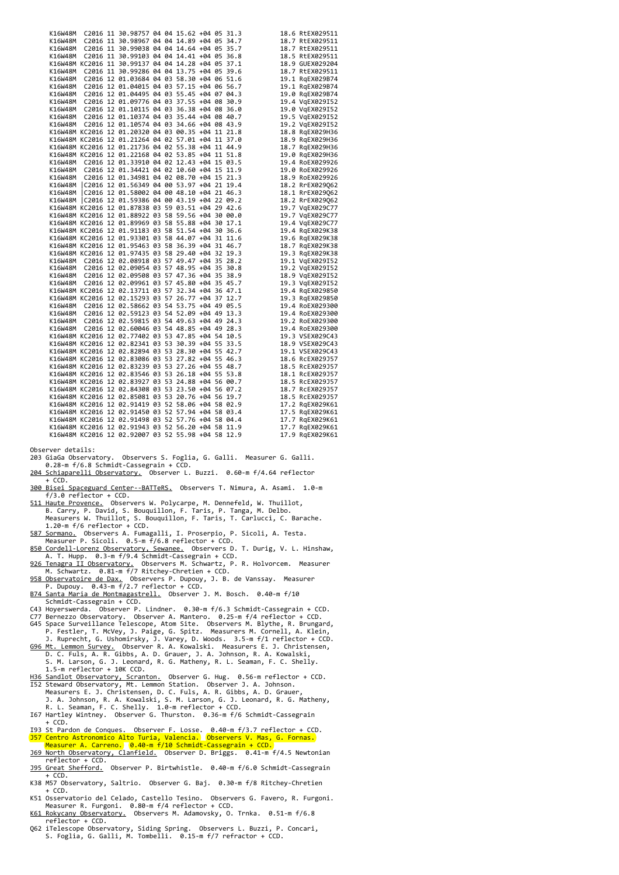|  |  | K16W48M C2016 11 30.98757 04 04 15.62 +04 05 31.3                                                                                               |  |  |  | 18.6 RtEX029511 |
|--|--|-------------------------------------------------------------------------------------------------------------------------------------------------|--|--|--|-----------------|
|  |  | K16W48M C2016 11 30.98967 04 04 14.89 +04 05 34.7<br>K16W48M C2016 11 30.99038 04 04 14.64 +04 05 35.7                                          |  |  |  | 18.7 RtEX029511 |
|  |  | K16W48M C2016 11 30.99038 04 04 14.01<br>K16W48M C2016 11 30.99103 04 04 14.41 +04 05 36.8<br>K16W48M C2016 11 30.99103 04 04 14.28 +04 05 37.1 |  |  |  | 18.7 RtEX029511 |
|  |  |                                                                                                                                                 |  |  |  | 18.5 RtEX029511 |
|  |  |                                                                                                                                                 |  |  |  | 18.9 GUEX029204 |
|  |  | K16W48M C2016 11 30.99286 04 04 13.75 +04 05 39.6                                                                                               |  |  |  | 18.7 RtEX029511 |
|  |  | K16W48M C2016 12 01.03684 04 03 58.30 +04 06 51.6                                                                                               |  |  |  | 19.1 RgEX029B74 |
|  |  | K16W48M C2016 12 01.04015 04 03 57.15 +04 06 56.7                                                                                               |  |  |  | 19.1 RgEX029B74 |
|  |  | K16W48M C2016 12 01.04495 04 03 55.45 +04 07 04.3                                                                                               |  |  |  | 19.0 RgEX029B74 |
|  |  | K16W48M C2016 12 01.09776 04 03 37.55 +04 08 30.9                                                                                               |  |  |  | 19.4 VgEX029I52 |
|  |  | K16W48M C2016 12 01.10115 04 03 36.38 +04 08 36.0                                                                                               |  |  |  | 19.0 VgEX029I52 |
|  |  | K16W48M C2016 12 01.10374 04 03 35.44 +04 08 40.7                                                                                               |  |  |  | 19.5 VgEX029I52 |
|  |  | K16W48M C2016 12 01.10574 04 03 34.66 +04 08 43.9                                                                                               |  |  |  | 19.2 VgEX029I52 |
|  |  | K16W48M KC2016 12 01.20320 04 03 00.35 +04 11 21.8                                                                                              |  |  |  | 18.8 RgEX029H36 |
|  |  | K16W48M KC2016 12 01.21264 04 02 57.01 +04 11 37.0                                                                                              |  |  |  | 18.9 RgEX029H36 |
|  |  | K16W48M KC2016 12 01.21736 04 02 55.38 +04 11 44.9                                                                                              |  |  |  | 18.7 RgEX029H36 |
|  |  | K16W48M KC2016 12 01.22168 04 02 53.85 +04 11 51.8                                                                                              |  |  |  | 19.0 RgEX029H36 |
|  |  | K16W48M C2016 12 01.33910 04 02 12.43 +04 15 03.5                                                                                               |  |  |  | 19.4 RoEX029926 |
|  |  | K16W48M C2016 12 01.34421 04 02 10.60 +04 15 11.9                                                                                               |  |  |  | 19.0 RoEX029926 |
|  |  | K16W48M C2016 12 01.34981 04 02 08.70 +04 15 21.3                                                                                               |  |  |  | 18.9 RoEX029926 |
|  |  |                                                                                                                                                 |  |  |  |                 |
|  |  | K16W48M C2016 12 01.56349 04 00 53.97 +04 21 19.4<br>K16W48M C2016 12 01.58002 04 00 48.10 +04 21 46.3                                          |  |  |  | 18.2 RrEX029062 |
|  |  |                                                                                                                                                 |  |  |  | 18.1 RrEX029Q62 |
|  |  | K16W48M C2016 12 01.59386 04 00 43.19 +04 22 09.2                                                                                               |  |  |  | 18.2 RrEX029062 |
|  |  | K16W48M KC2016 12 01.87838 03 59 03.51 +04 29 42.6                                                                                              |  |  |  | 19.7 VgEX029C77 |
|  |  | K16W48M KC2016 12 01.88922 03 58 59.56 +04 30 00.0                                                                                              |  |  |  | 19.7 VgEX029C77 |
|  |  | K16W48M KC2016 12 01.89969 03 58 55.88 +04 30 17.1                                                                                              |  |  |  | 19.4 VgEX029C77 |
|  |  | K16W48M KC2016 12 01.91183 03 58 51.54 +04 30 36.6                                                                                              |  |  |  | 19.4 RgEX029K38 |
|  |  | K16W48M KC2016 12 01.93301 03 58 44.07 +04 31 11.6                                                                                              |  |  |  | 19.6 RgEX029K38 |
|  |  | K16W48M KC2016 12 01.95463 03 58 36.39 +04 31 46.7                                                                                              |  |  |  | 18.7 RgEX029K38 |
|  |  | K16W48M KC2016 12 01.97435 03 58 29.40 +04 32 19.3                                                                                              |  |  |  | 19.3 RgEX029K38 |
|  |  | K16W48M C2016 12 02.08918 03 57 49.47 +04 35 28.2                                                                                               |  |  |  | 19.1 VqEX029I52 |
|  |  | K16W48M C2016 12 02.09054 03 57 48.95 +04 35 30.8                                                                                               |  |  |  | 19.2 VgEX029I52 |
|  |  | K16W48M C2016 12 02.09508 03 57 47.36 +04 35 38.9                                                                                               |  |  |  | 18.9 VgEX029I52 |
|  |  | K16W48M C2016 12 02.09961 03 57 45.80 +04 35 45.7                                                                                               |  |  |  | 19.3 VgEX029I52 |
|  |  | K16W48M KC2016 12 02.13711 03 57 32.34 +04 36 47.1                                                                                              |  |  |  | 19.4 RgEX029850 |
|  |  | K16W48M KC2016 12 02.15293 03 57 26.77 +04 37 12.7                                                                                              |  |  |  | 19.3 RgEX029850 |
|  |  | K16W48M C2016 12 02.58662 03 54 53.75 +04 49 05.5                                                                                               |  |  |  | 19.4 RoEX029300 |
|  |  | K16W48M C2016 12 02.59123 03 54 52.09 +04 49 13.3                                                                                               |  |  |  | 19.4 RoEX029300 |
|  |  | K16W48M C2016 12 02.59815 03 54 49.63 +04 49 24.3                                                                                               |  |  |  | 19.2 RoEX029300 |
|  |  | K16W48M C2016 12 02.60046 03 54 48.85 +04 49 28.3                                                                                               |  |  |  | 19.4 RoEX029300 |
|  |  | K16W48M KC2016 12 02.77402 03 53 47.85 +04 54 10.5                                                                                              |  |  |  | 19.3 VSEX029C43 |
|  |  | K16W48M KC2016 12 02.82341 03 53 30.39 +04 55 33.5                                                                                              |  |  |  | 18.9 VSEX029C43 |
|  |  | K16W48M KC2016 12 02.82894 03 53 28.30 +04 55 42.7                                                                                              |  |  |  | 19.1 VSEX029C43 |
|  |  | K16W48M KC2016 12 02.83086 03 53 27.82 +04 55 46.3                                                                                              |  |  |  | 18.6 RcEX029J57 |
|  |  | K16W48M KC2016 12 02.83239 03 53 27.26 +04 55 48.7                                                                                              |  |  |  | 18.5 RcEX029J57 |
|  |  | K16W48M KC2016 12 02.83546 03 53 26.18 +04 55 53.8                                                                                              |  |  |  | 18.1 RcEX029J57 |
|  |  | K16W48M KC2016 12 02.83927 03 53 24.88 +04 56 00.7                                                                                              |  |  |  | 18.5 RcEX029J57 |
|  |  | K16W48M KC2016 12 02.84308 03 53 23.50 +04 56 07.2                                                                                              |  |  |  | 18.7 RcEX029J57 |
|  |  | K16W48M KC2016 12 02.85081 03 53 20.76 +04 56 19.7                                                                                              |  |  |  | 18.5 RcEX029J57 |
|  |  | K16W48M KC2016 12 02.91419 03 52 58.06 +04 58 02.9                                                                                              |  |  |  | 17.2 RgEX029K61 |
|  |  | K16W48M KC2016 12 02.91450 03 52 57.94 +04 58 03.4                                                                                              |  |  |  | 17.5 RqEX029K61 |
|  |  | K16W48M KC2016 12 02.91498 03 52 57.76 +04 58 04.4                                                                                              |  |  |  | 17.7 RgEX029K61 |
|  |  | K16W48M KC2016 12 02.91943 03 52 56.20 +04 58 11.9                                                                                              |  |  |  | 17.7 RqEX029K61 |
|  |  | K16W48M KC2016 12 02.92007 03 52 55.98 +04 58 12.9                                                                                              |  |  |  | 17.9 RqEX029K61 |
|  |  |                                                                                                                                                 |  |  |  |                 |

Observer details:

203 GiaGa Observatory. Observers S. Foglia, G. Galli. Measurer G. Galli. 0.28‐m f/6.8 Schmidt‐Cassegrain + CCD. [204 Schiaparelli Observatory.](http://www.astrogeo.va.it/) Observer L. Buzzi. 0.60‐m f/4.64 reflector

- $+$  CCD.
- [300 Bisei Spaceguard Center‐‐BATTeRS.](http://www.spaceguard.or.jp/ja/e_index.html)  Observers T. Nimura, A. Asami. 1.0‐m f/3.0 reflector + CCD.
- [511 Haute Provence.](http://www.obs-hp.fr/) Observers W. Polycarpe, M. Dennefeld, W. Thuillot,<br>B. Carry, P. David, S. Bouquillon, F. Taris, P. Tanga, M. Delbo.<br>Measurers W. Thuillot, S. Bouquillon, F. Taris, T. Carlucci, C. Barache.<br>1.20-m f/6 re
- 
- 850 Cordell-Lorenz Observatory, Sewanee. Observers D. T. Durig, V. L. Hinshaw,
- A. T. Hupp. 0.3-m f/9.4 Schmidt-Cassegrain + CCD.<br><u>926 Tenagra II Observatory.</u> Observers M. Schwartz, P. R. Holvorcem. Measurer<br>M. Schwartz. 0.81-m f/7 Ritchey-Chretien + CCD.
- [958 Observatoire de Dax.](http://www.astrosurf.com/obsdax) Observers P. Dupouy, J. B. de Vanssay. Measurer<br>P. Dupouy. 0.43-m f/2.7 reflector + CCD.
- [B74 Santa Maria de Montmagastrell.](http://santamariaobservatory.blogspot.com/)  Observer J. M. Bosch. 0.40‐m f/10
- 
- Schmidt-Cassegrain + CCD.<br>C43 Hoyerswerda. Observer P. Lindner. 0.30-m f/6.3 Schmidt-Cassegrain + CCD.<br>C77 Bernezzo Observatory. Observer A. Mantero. 0.25-m f/4 reflector + CCD.<br>G45 Space Surveillance Telescope, Atom Site.
- [G96 Mt. Lemmon Survey.](http://www.lpl.arizona.edu/css/) Observer R. A. Kowalski. Measurers E. J. Christensen,<br>D. C. Fuls, A. R. Gibbs, A. D. Grauer, J. A. Johnson, R. A. Kowalski,<br>S. M. Larson, G. J. Leonard, R. G. Matheny, R. L. Seaman, F. C. Shelly.<br>1.5
- [H36 Sandlot Observatory, Scranton.](https://sites.google.com/a/sitechservo.info/gary-hug-s-site/)  Observer G. Hug. 0.56‐m reflector + CCD.
- I52 Steward Observatory, Mt. Lemmon Station. Observer J. A. Johnson. Measurers E. J. Christensen, D. C. Fuls, A. R. Gibbs, A. D. Grauer, J. A. Johnson, R. A. Kowalski, S. M. Larson, G. J. Leonard, R. G. Matheny,
- R. L. Seaman, F. C. Shelly. 1.0‐m reflector + CCD. I67 Hartley Wintney. Observer G. Thurston. 0.36‐m f/6 Schmidt‐Cassegrain
- + CCD.<br>193 St Pardon de Conques. Observer F. Losse. 0.40-m f/3.7 reflector + CCD.<br><mark>157 Centro Astronomico Alto Turia, Valencia.</mark> Observers V. Mas, G. Fornas.<br>Measurer A. Carreno. 0.40-m f/10 Schmidt-Cassegrain + CCD.<br>169 N
- reflector + CCD.
- [J95 Great Shefford.](http://www.birtwhistle.org/) Observer P. Birtwhistle. 0.40‐m f/6.0 Schmidt‐Cassegrain  $CCD$ .
- K38 M57 Observatory, Saltrio. Observer G. Baj. 0.30‐m f/8 Ritchey‐Chretien + CCD.
- K51 Osservatorio del Celado, Castello Tesino. Observers G. Favero, R. Furgoni.<br>Measurer R. Furgoni. 0.80-m f/4 reflector + CCD.<br><u>[K61 Rokycany Observatory.](http://hvr.cz/en/)</u> Observers M. Adamovsky, O. Trnka. 0.51-m f/6.8
- reflector + CCD. Q62 iTelescope Observatory, Siding Spring. Observers L. Buzzi, P. Concari, S. Foglia, G. Galli, M. Tombelli. 0.15‐m f/7 refractor + CCD.